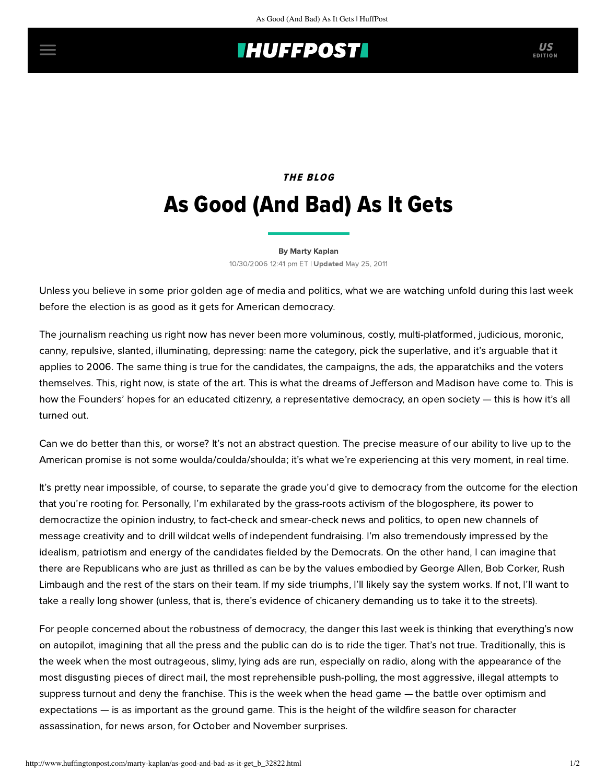## **INUFFPOSTI** US

# THE BLOG As Good (And Bad) As It Gets

#### [By Marty Kaplan](http://www.huffingtonpost.com/author/marty-kaplan)

10/30/2006 12:41 pm ET | Updated May 25, 2011

Unless you believe in some prior golden age of media and politics, what we are watching unfold during this last week before the election is as good as it gets for American democracy.

The journalism reaching us right now has never been more voluminous, costly, multi-platformed, judicious, moronic, canny, repulsive, slanted, illuminating, depressing: name the category, pick the superlative, and it's arguable that it applies to 2006. The same thing is true for the candidates, the campaigns, the ads, the apparatchiks and the voters themselves. This, right now, is state of the art. This is what the dreams of Jefferson and Madison have come to. This is how the Founders' hopes for an educated citizenry, a representative democracy, an open society — this is how it's all turned out.

Can we do better than this, or worse? It's not an abstract question. The precise measure of our ability to live up to the American promise is not some woulda/coulda/shoulda; it's what we're experiencing at this very moment, in real time.

It's pretty near impossible, of course, to separate the grade you'd give to democracy from the outcome for the election that you're rooting for. Personally, I'm exhilarated by the grass-roots activism of the blogosphere, its power to democractize the opinion industry, to fact-check and smear-check news and politics, to open new channels of message creativity and to drill wildcat wells of independent fundraising. I'm also tremendously impressed by the idealism, patriotism and energy of the candidates fielded by the Democrats. On the other hand, I can imagine that there are Republicans who are just as thrilled as can be by the values embodied by George Allen, Bob Corker, Rush Limbaugh and the rest of the stars on their team. If my side triumphs, I'll likely say the system works. If not, I'll want to take a really long shower (unless, that is, there's evidence of chicanery demanding us to take it to the streets).

For people concerned about the robustness of democracy, the danger this last week is thinking that everything's now on autopilot, imagining that all the press and the public can do is to ride the tiger. That's not true. Traditionally, this is the week when the most outrageous, slimy, lying ads are run, especially on radio, along with the appearance of the most disgusting pieces of direct mail, the most reprehensible push-polling, the most aggressive, illegal attempts to suppress turnout and deny the franchise. This is the week when the head game — the battle over optimism and expectations — is as important as the ground game. This is the height of the wildfire season for character assassination, for news arson, for October and November surprises.